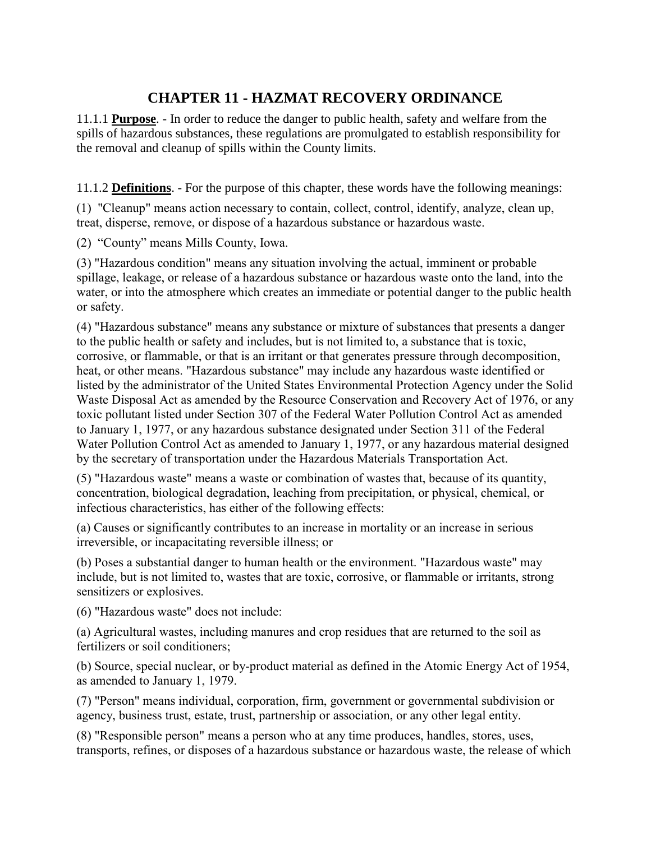## **CHAPTER 11 - HAZMAT RECOVERY ORDINANCE**

11.1.1 **Purpose**. - In order to reduce the danger to public health, safety and welfare from the spills of hazardous substances, these regulations are promulgated to establish responsibility for the removal and cleanup of spills within the County limits.

11.1.2 **Definitions**. - For the purpose of this chapter, these words have the following meanings:

(1) "Cleanup" means action necessary to contain, collect, control, identify, analyze, clean up, treat, disperse, remove, or dispose of a hazardous substance or hazardous waste.

(2) "County" means Mills County, Iowa.

(3) "Hazardous condition" means any situation involving the actual, imminent or probable spillage, leakage, or release of a hazardous substance or hazardous waste onto the land, into the water, or into the atmosphere which creates an immediate or potential danger to the public health or safety.

(4) "Hazardous substance" means any substance or mixture of substances that presents a danger to the public health or safety and includes, but is not limited to, a substance that is toxic, corrosive, or flammable, or that is an irritant or that generates pressure through decomposition, heat, or other means. "Hazardous substance" may include any hazardous waste identified or listed by the administrator of the United States Environmental Protection Agency under the Solid Waste Disposal Act as amended by the Resource Conservation and Recovery Act of 1976, or any toxic pollutant listed under Section 307 of the Federal Water Pollution Control Act as amended to January 1, 1977, or any hazardous substance designated under Section 311 of the Federal Water Pollution Control Act as amended to January 1, 1977, or any hazardous material designed by the secretary of transportation under the Hazardous Materials Transportation Act.

(5) "Hazardous waste" means a waste or combination of wastes that, because of its quantity, concentration, biological degradation, leaching from precipitation, or physical, chemical, or infectious characteristics, has either of the following effects:

(a) Causes or significantly contributes to an increase in mortality or an increase in serious irreversible, or incapacitating reversible illness; or

(b) Poses a substantial danger to human health or the environment. "Hazardous waste" may include, but is not limited to, wastes that are toxic, corrosive, or flammable or irritants, strong sensitizers or explosives.

(6) "Hazardous waste" does not include:

(a) Agricultural wastes, including manures and crop residues that are returned to the soil as fertilizers or soil conditioners;

(b) Source, special nuclear, or by-product material as defined in the Atomic Energy Act of 1954, as amended to January 1, 1979.

(7) "Person" means individual, corporation, firm, government or governmental subdivision or agency, business trust, estate, trust, partnership or association, or any other legal entity.

(8) "Responsible person" means a person who at any time produces, handles, stores, uses, transports, refines, or disposes of a hazardous substance or hazardous waste, the release of which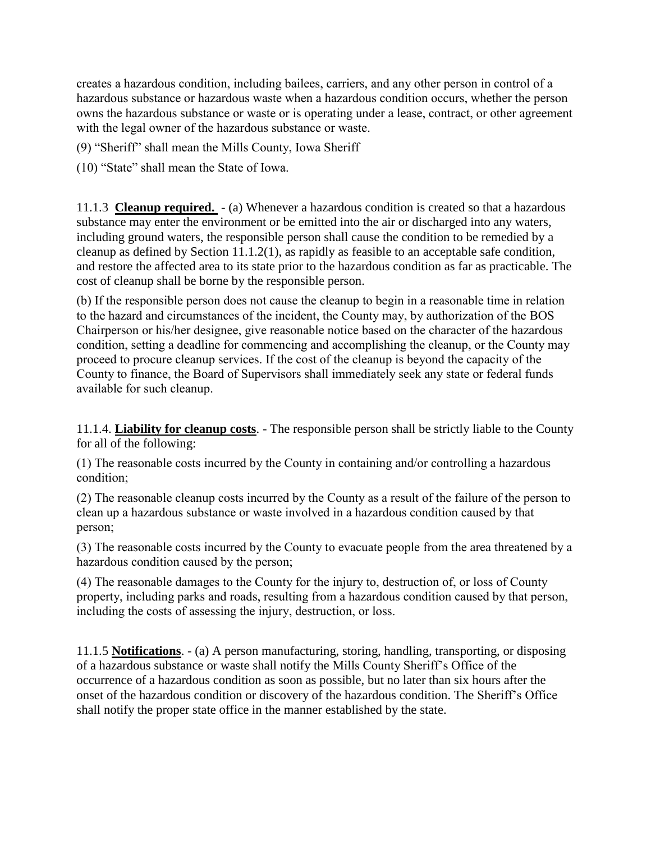creates a hazardous condition, including bailees, carriers, and any other person in control of a hazardous substance or hazardous waste when a hazardous condition occurs, whether the person owns the hazardous substance or waste or is operating under a lease, contract, or other agreement with the legal owner of the hazardous substance or waste.

(9) "Sheriff" shall mean the Mills County, Iowa Sheriff

(10) "State" shall mean the State of Iowa.

11.1.3 **Cleanup required.** - (a) Whenever a hazardous condition is created so that a hazardous substance may enter the environment or be emitted into the air or discharged into any waters, including ground waters, the responsible person shall cause the condition to be remedied by a cleanup as defined by Section 11.1.2(1), as rapidly as feasible to an acceptable safe condition, and restore the affected area to its state prior to the hazardous condition as far as practicable. The cost of cleanup shall be borne by the responsible person.

(b) If the responsible person does not cause the cleanup to begin in a reasonable time in relation to the hazard and circumstances of the incident, the County may, by authorization of the BOS Chairperson or his/her designee, give reasonable notice based on the character of the hazardous condition, setting a deadline for commencing and accomplishing the cleanup, or the County may proceed to procure cleanup services. If the cost of the cleanup is beyond the capacity of the County to finance, the Board of Supervisors shall immediately seek any state or federal funds available for such cleanup.

11.1.4. **Liability for cleanup costs**. - The responsible person shall be strictly liable to the County for all of the following:

(1) The reasonable costs incurred by the County in containing and/or controlling a hazardous condition;

(2) The reasonable cleanup costs incurred by the County as a result of the failure of the person to clean up a hazardous substance or waste involved in a hazardous condition caused by that person;

(3) The reasonable costs incurred by the County to evacuate people from the area threatened by a hazardous condition caused by the person;

(4) The reasonable damages to the County for the injury to, destruction of, or loss of County property, including parks and roads, resulting from a hazardous condition caused by that person, including the costs of assessing the injury, destruction, or loss.

11.1.5 **Notifications**. - (a) A person manufacturing, storing, handling, transporting, or disposing of a hazardous substance or waste shall notify the Mills County Sheriff's Office of the occurrence of a hazardous condition as soon as possible, but no later than six hours after the onset of the hazardous condition or discovery of the hazardous condition. The Sheriff's Office shall notify the proper state office in the manner established by the state.